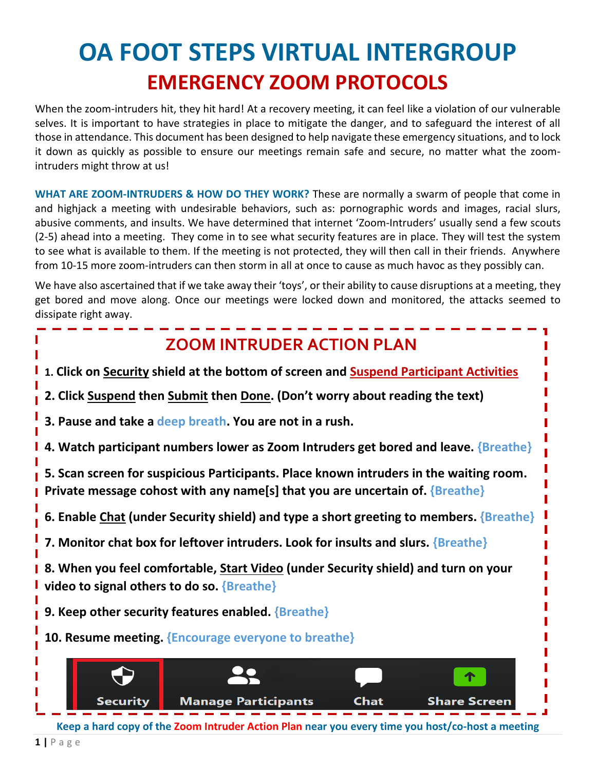# **OA FOOT STEPS VIRTUAL INTERGROUP EMERGENCY ZOOM PROTOCOLS**

When the zoom-intruders hit, they hit hard! At a recovery meeting, it can feel like a violation of our vulnerable selves. It is important to have strategies in place to mitigate the danger, and to safeguard the interest of all those in attendance. This document has been designed to help navigate these emergency situations, and to lock it down as quickly as possible to ensure our meetings remain safe and secure, no matter what the zoomintruders might throw at us!

**WHAT ARE ZOOM-INTRUDERS & HOW DO THEY WORK?** These are normally a swarm of people that come in and highjack a meeting with undesirable behaviors, such as: pornographic words and images, racial slurs, abusive comments, and insults. We have determined that internet 'Zoom-Intruders' usually send a few scouts (2-5) ahead into a meeting. They come in to see what security features are in place. They will test the system to see what is available to them. If the meeting is not protected, they will then call in their friends. Anywhere from 10-15 more zoom-intruders can then storm in all at once to cause as much havoc as they possibly can.

We have also ascertained that if we take away their 'toys', or their ability to cause disruptions at a meeting, they get bored and move along. Once our meetings were locked down and monitored, the attacks seemed to dissipate right away.

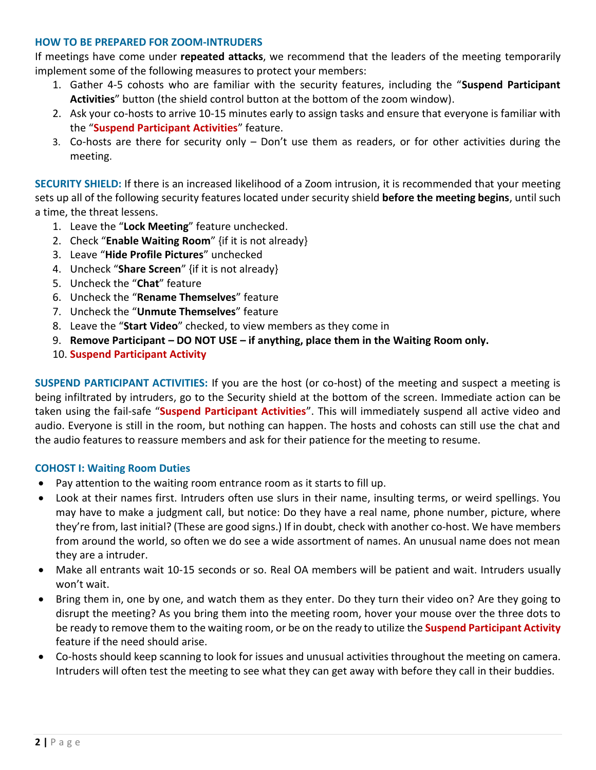#### **HOW TO BE PREPARED FOR ZOOM-INTRUDERS**

If meetings have come under **repeated attacks**, we recommend that the leaders of the meeting temporarily implement some of the following measures to protect your members:

- 1. Gather 4-5 cohosts who are familiar with the security features, including the "**Suspend Participant Activities**" button (the shield control button at the bottom of the zoom window).
- 2. Ask your co-hosts to arrive 10-15 minutes early to assign tasks and ensure that everyone is familiar with the "**Suspend Participant Activities**" feature.
- 3. Co-hosts are there for security only Don't use them as readers, or for other activities during the meeting.

**SECURITY SHIELD:** If there is an increased likelihood of a Zoom intrusion, it is recommended that your meeting sets up all of the following security features located under security shield **before the meeting begins**, until such a time, the threat lessens.

- 1. Leave the "**Lock Meeting**" feature unchecked.
- 2. Check "**Enable Waiting Room**" {if it is not already}
- 3. Leave "**Hide Profile Pictures**" unchecked
- 4. Uncheck "**Share Screen**" {if it is not already}
- 5. Uncheck the "**Chat**" feature
- 6. Uncheck the "**Rename Themselves**" feature
- 7. Uncheck the "**Unmute Themselves**" feature
- 8. Leave the "**Start Video**" checked, to view members as they come in
- 9. **Remove Participant – DO NOT USE – if anything, place them in the Waiting Room only.**
- 10. **Suspend Participant Activity**

**SUSPEND PARTICIPANT ACTIVITIES:** If you are the host (or co-host) of the meeting and suspect a meeting is being infiltrated by intruders, go to the Security shield at the bottom of the screen. Immediate action can be taken using the fail-safe "**Suspend Participant Activities**". This will immediately suspend all active video and audio. Everyone is still in the room, but nothing can happen. The hosts and cohosts can still use the chat and the audio features to reassure members and ask for their patience for the meeting to resume.

#### **COHOST I: Waiting Room Duties**

- Pay attention to the waiting room entrance room as it starts to fill up.
- Look at their names first. Intruders often use slurs in their name, insulting terms, or weird spellings. You may have to make a judgment call, but notice: Do they have a real name, phone number, picture, where they're from, last initial? (These are good signs.) If in doubt, check with another co-host. We have members from around the world, so often we do see a wide assortment of names. An unusual name does not mean they are a intruder.
- Make all entrants wait 10-15 seconds or so. Real OA members will be patient and wait. Intruders usually won't wait.
- Bring them in, one by one, and watch them as they enter. Do they turn their video on? Are they going to disrupt the meeting? As you bring them into the meeting room, hover your mouse over the three dots to be ready to remove them to the waiting room, or be on the ready to utilize the **Suspend Participant Activity** feature if the need should arise.
- Co-hosts should keep scanning to look for issues and unusual activities throughout the meeting on camera. Intruders will often test the meeting to see what they can get away with before they call in their buddies.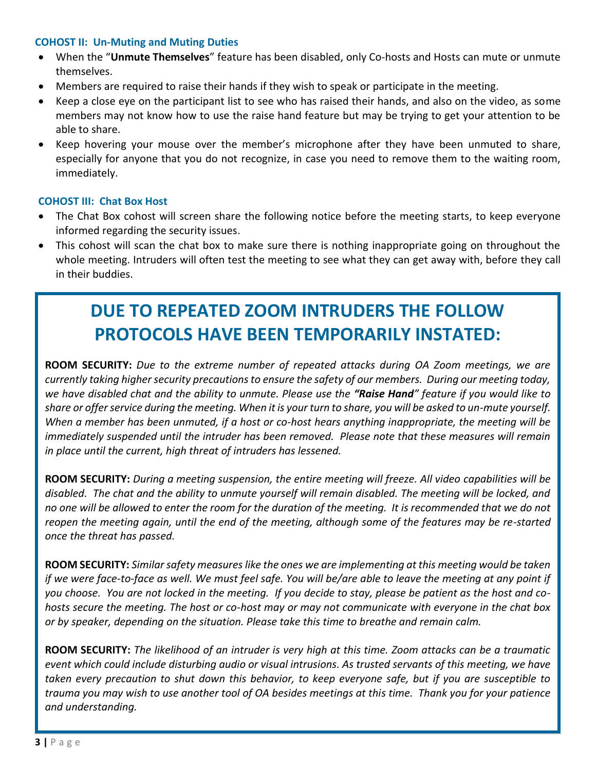#### **COHOST II: Un-Muting and Muting Duties**

- When the "**Unmute Themselves**" feature has been disabled, only Co-hosts and Hosts can mute or unmute themselves.
- Members are required to raise their hands if they wish to speak or participate in the meeting.
- Keep a close eye on the participant list to see who has raised their hands, and also on the video, as some members may not know how to use the raise hand feature but may be trying to get your attention to be able to share.
- Keep hovering your mouse over the member's microphone after they have been unmuted to share, especially for anyone that you do not recognize, in case you need to remove them to the waiting room, immediately.

#### **COHOST III: Chat Box Host**

- The Chat Box cohost will screen share the following notice before the meeting starts, to keep everyone informed regarding the security issues.
- This cohost will scan the chat box to make sure there is nothing inappropriate going on throughout the whole meeting. Intruders will often test the meeting to see what they can get away with, before they call in their buddies.

## **DUE TO REPEATED ZOOM INTRUDERS THE FOLLOW PROTOCOLS HAVE BEEN TEMPORARILY INSTATED:**

**ROOM SECURITY:** *Due to the extreme number of repeated attacks during OA Zoom meetings, we are currently taking higher security precautions to ensure the safety of our members. During our meeting today, we have disabled chat and the ability to unmute. Please use the "Raise Hand" feature if you would like to share or offer service during the meeting. When it is your turn to share, you will be asked to un-mute yourself. When a member has been unmuted, if a host or co-host hears anything inappropriate, the meeting will be immediately suspended until the intruder has been removed. Please note that these measures will remain in place until the current, high threat of intruders has lessened.*

**ROOM SECURITY:** *During a meeting suspension, the entire meeting will freeze. All video capabilities will be disabled. The chat and the ability to unmute yourself will remain disabled. The meeting will be locked, and no one will be allowed to enter the room for the duration of the meeting. It is recommended that we do not reopen the meeting again, until the end of the meeting, although some of the features may be re-started once the threat has passed.* 

**ROOM SECURITY:** *Similar safety measures like the ones we are implementing at this meeting would be taken if we were face-to-face as well. We must feel safe. You will be/are able to leave the meeting at any point if you choose. You are not locked in the meeting. If you decide to stay, please be patient as the host and cohosts secure the meeting. The host or co-host may or may not communicate with everyone in the chat box or by speaker, depending on the situation. Please take this time to breathe and remain calm.* 

**ROOM SECURITY:** *The likelihood of an intruder is very high at this time. Zoom attacks can be a traumatic event which could include disturbing audio or visual intrusions. As trusted servants of this meeting, we have taken every precaution to shut down this behavior, to keep everyone safe, but if you are susceptible to trauma you may wish to use another tool of OA besides meetings at this time. Thank you for your patience and understanding.*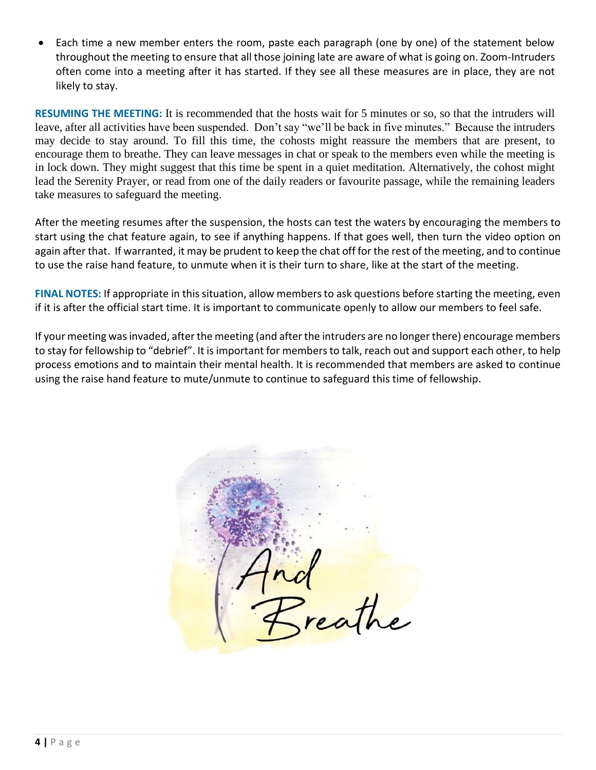• Each time a new member enters the room, paste each paragraph (one by one) of the statement below throughout the meeting to ensure that all those joining late are aware of what is going on. Zoom-Intruders often come into a meeting after it has started. If they see all these measures are in place, they are not likely to stay.

**RESUMING THE MEETING:** It is recommended that the hosts wait for 5 minutes or so, so that the intruders will leave, after all activities have been suspended. Don't say "we'll be back in five minutes." Because the intruders may decide to stay around. To fill this time, the cohosts might reassure the members that are present, to encourage them to breathe. They can leave messages in chat or speak to the members even while the meeting is in lock down. They might suggest that this time be spent in a quiet meditation. Alternatively, the cohost might lead the Serenity Prayer, or read from one of the daily readers or favourite passage, while the remaining leaders take measures to safeguard the meeting.

After the meeting resumes after the suspension, the hosts can test the waters by encouraging the members to start using the chat feature again, to see if anything happens. If that goes well, then turn the video option on again after that. If warranted, it may be prudent to keep the chat off for the rest of the meeting, and to continue to use the raise hand feature, to unmute when it is their turn to share, like at the start of the meeting.

**FINAL NOTES:** If appropriate in this situation, allow members to ask questions before starting the meeting, even if it is after the official start time. It is important to communicate openly to allow our members to feel safe.

If your meeting was invaded, after the meeting (and after the intruders are no longer there) encourage members to stay for fellowship to "debrief". It is important for members to talk, reach out and support each other, to help process emotions and to maintain their mental health. It is recommended that members are asked to continue using the raise hand feature to mute/unmute to continue to safeguard this time of fellowship.